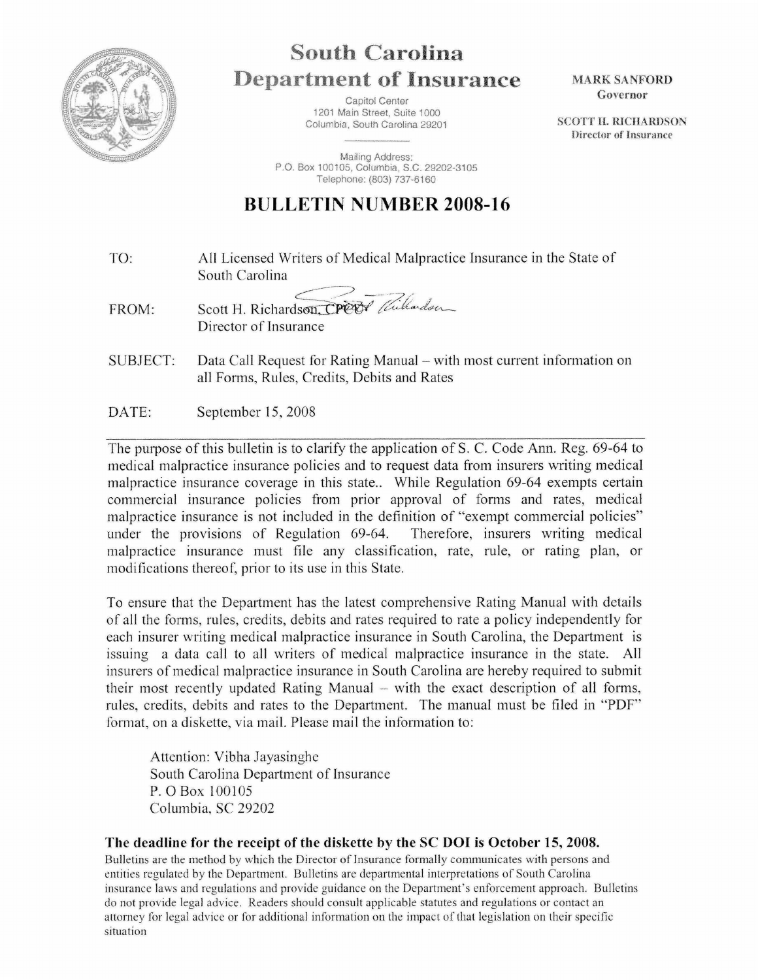

## South **Carolina Department of Insurance**

Capitol Center 1201 Main Street, Suite 1000 Columbia, South Carolina 29201

Mailing Address: P.O. Box 100105, Columbia, S.C. 29202-3105 Telephone: (803) 737·6160

## **BULLETIN NUMBER 2008-16**

TO: All Licensed Writers of Medical Malpractice Insurance in the State of South Carolina

FROM: Scott H. Richardson, CPCOP Withordson

Director of Insurance

SUBJECT: Data Call Request for Rating Manual – with most current information on all Forms, Rules, Credits, Debits and Rates

DATE: September 15, 2008

The purpose of this bulletin is to clarify the application of S. C. Code Ann. Reg. 69-64 to medical malpractice insurance policies and to request data from insurers writing medical malpractice insurance coverage in this state.. While Regulation 69-64 exempts certain commercial insurance policies from prior approval of forms and rates, medical malpractice insurance is not included in the definition of "exempt commercial policies" under the provisions of Regulation 69-64. Therefore, insurers writing medical malpractice insurance must file any classification, rate, rule, or rating plan, or modifications thereof, prior to its use in this State.

To ensure that the Department has the latest comprehensive Rating Manual with details of all the forms, rules, credits, debits and rates required to rate a policy independently for each insurer writing medical malpractice insurance in South Carolina, the Department is issuing a data call to all writers of medical malpractice insurance in the state. All insurers of medical malpractice insurance in South Carolina are hereby required to submit their most recently updated Rating Manual  $-$  with the exact description of all forms, rules, credits, debits and rates to the Department. The manual must be filed in "PDF" format, on a diskette, via mail. Please mail the information to:

Attention: Vibha Jayasinghe South Carolina Department of Insurance P.OBox 100105 Columbia, SC 29202

## The deadline for the receipt of the diskette by the SC DOI is October 15, 2008.

Bulletins are the method by which the Director of Insurance formally communicates with persons and entities regulated by the Department. Bulletins are departmental interpretations of South Carolina insurance laws and regulations and provide guidance on the Department's enforcement approach. Bulletins do not provide legal advice. Readers should consult applicable statutes and regulations or contact an attorney for legal advice or for additional information on the impact of that legislation on their specific situation

MARK SANFORD Governor

SCOTT H. RICHARDSON Director of Insurance